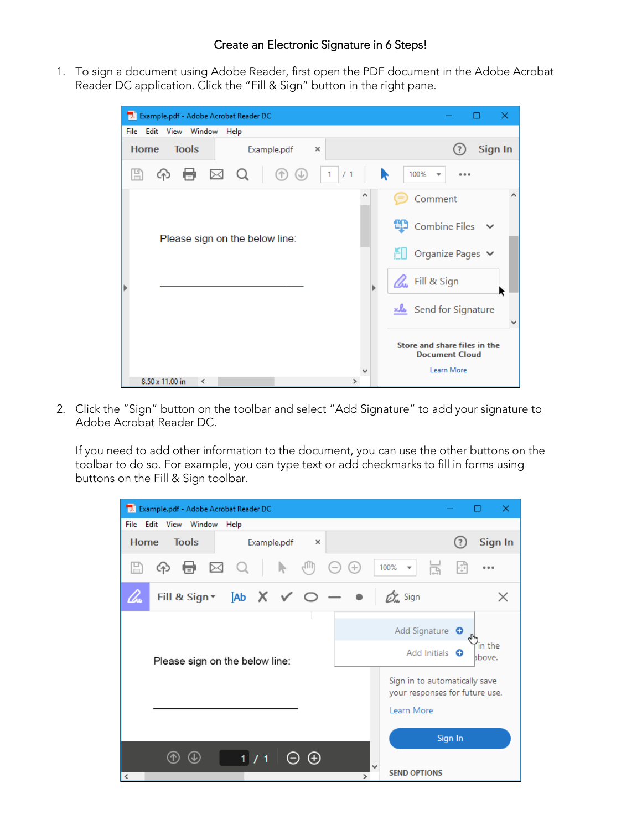## Create an Electronic Signature in 6 Steps!

1. To sign a document using Adobe Reader, first open the PDF document in the Adobe Acrobat Reader DC application. Click the "Fill & Sign" button in the right pane.

| Example.pdf - Adobe Acrobat Reader DC |                                        | ×                                                                                    |  |  |  |  |  |
|---------------------------------------|----------------------------------------|--------------------------------------------------------------------------------------|--|--|--|--|--|
| File Edit View Window                 | Help                                   |                                                                                      |  |  |  |  |  |
| <b>Tools</b><br><b>Home</b>           | Example.pdf<br>×                       | Sign In                                                                              |  |  |  |  |  |
| H<br>අ                                | 骨図Q<br>$\sim 1$<br>จ<br>$^{\circledR}$ | /1<br>100%<br>R<br>$\overline{\mathbf{v}}$<br>0.0.0                                  |  |  |  |  |  |
|                                       | Please sign on the below line:         | Comment<br><b>①</b> Combine Files ∨<br>$\Box$ Organize Pages $\triangleright$        |  |  |  |  |  |
|                                       |                                        | <b>L</b> Fill & Sign<br>Send for Signature                                           |  |  |  |  |  |
| 8.50 x 11.00 in<br>≺                  |                                        | Store and share files in the<br><b>Document Cloud</b><br>Learn More<br>$\rightarrow$ |  |  |  |  |  |

2. Click the "Sign" button on the toolbar and select "Add Signature" to add your signature to Adobe Acrobat Reader DC.

If you need to add other information to the document, you can use the other buttons on the toolbar to do so. For example, you can type text or add checkmarks to fill in forms using buttons on the Fill & Sign toolbar.

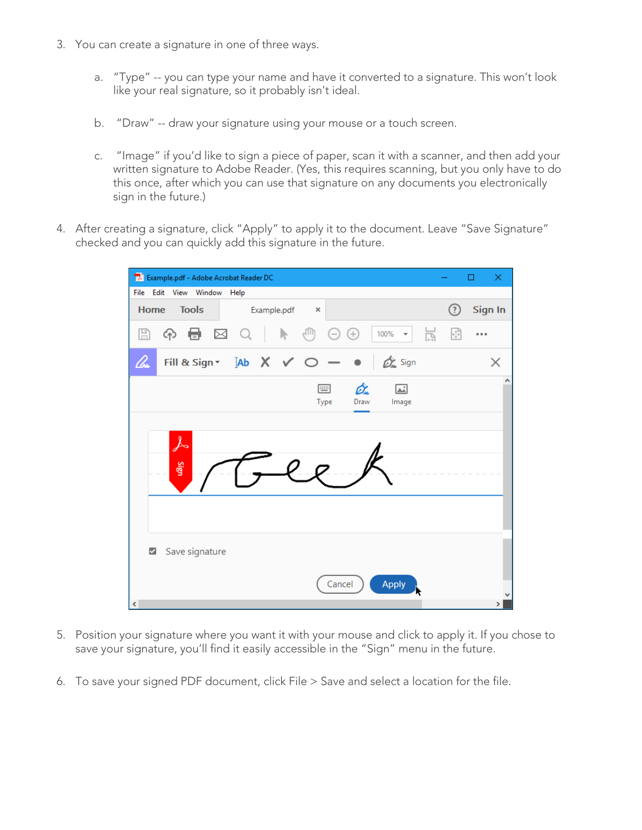- 3. You can create a signature in one of three ways.
	- a. "Type" -- you can type your name and have it converted to a signature. This won't look like your real signature, so it probably isn't ideal.
	- b. "Draw" -- draw your signature using your mouse or a touch screen.
	- c. "Image" if you'd like to sign a piece of paper, scan it with a scanner, and then add your written signature to Adobe Reader. (Yes, this requires scanning, but you only have to do this once, after which you can use that signature on any documents you electronically sign in the future.)
- 4. After creating a signature, click "Apply" to apply it to the document. Leave "Save Signature" checked and you can quickly add this signature in the future.

| Example.pdf - Adobe Acrobat Reader DC |                                   |             |                  |            |                                |                      |   | □       | × |
|---------------------------------------|-----------------------------------|-------------|------------------|------------|--------------------------------|----------------------|---|---------|---|
| File Edit View Window Help            |                                   |             |                  |            |                                |                      |   |         |   |
| Home                                  | <b>Tools</b>                      | Example.pdf | $\times$         |            |                                |                      | ඹ | Sign In |   |
| $\boxplus$<br>ନ                       | $\blacksquare$ $\boxtimes$ $\lhd$ | Ņ           | ξſΠŋ<br>$_{(-)}$ | ⊕          | 100%<br>$\overline{\mathbf v}$ | $\frac{1}{\sqrt{2}}$ | ⊡ |         |   |
| lho                                   | Fill & Sign v [Ab X √ ○           |             |                  | $ \bullet$ | On Sign                        |                      |   |         | X |
| $\overline{\mathcal{S}}$<br>Sign      |                                   |             | 画<br>Type        | On<br>Draw | $\boxed{\triangle}$<br>Image   |                      |   |         | ۸ |
| $\overline{\mathbf{v}}$               | Save signature                    |             | Cancel           |            | <b>Apply</b>                   |                      |   |         |   |
| $\,$ $\,$                             |                                   |             |                  |            |                                |                      |   |         | ⋗ |

- 5. Position your signature where you want it with your mouse and click to apply it. If you chose to save your signature, you'll find it easily accessible in the "Sign" menu in the future.
- 6. To save your signed PDF document, click File > Save and select a location for the file.